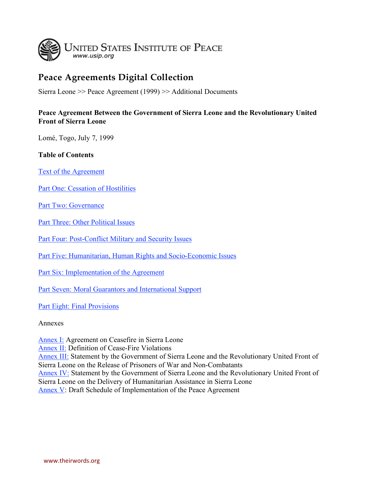

# **Peace Agreements Digital Collection**

Sierra Leone >> Peace Agreement (1999) >> Additional Documents

## **Peace Agreement Between the Government of Sierra Leone and the Revolutionary United Front of Sierra Leone**

Lomé, Togo, July 7, 1999

**Table of Contents**

[Text of the Agreement](#page-1-0)

[Part One: Cessation of Hostilities](#page-2-0)

[Part Two: Governance](#page-2-0)

[Part Three: Other Political Issues](#page-7-0)

[Part Four: Post-Conflict Military and Security Issues](#page-9-0)

[Part Five: Humanitarian, Human Rights and Socio-Economic Issues](#page-11-0)

[Part Six: Implementation of the Agreement](#page-14-0)

[Part Seven: Moral Guarantors and International Support](#page-15-0)

[Part Eight: Final Provisions](#page-15-0)

Annexes

[Annex I: A](#page-16-0)greement on Ceasefire in Sierra Leone

[Annex II:](#page-18-0) Definition of Cease-Fire Violations

[Annex III:](#page-19-0) Statement by the Government of Sierra Leone and the Revolutionary United Front of Sierra Leone on the Release of Prisoners of War and Non-Combatants [Annex IV:](#page-19-0) Statement by the Government of Sierra Leone and the Revolutionary United Front of

Sierra Leone on the Delivery of Humanitarian Assistance in Sierra Leone

[Annex V:](#page-21-0) Draft Schedule of Implementation of the Peace Agreement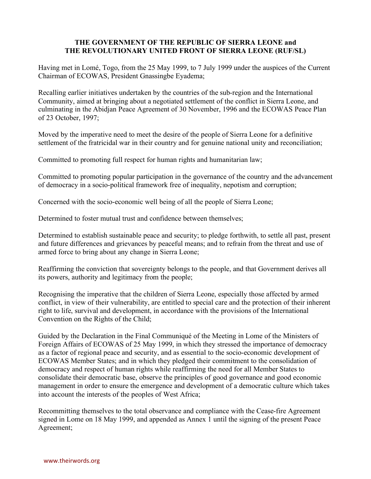#### **THE GOVERNMENT OF THE REPUBLIC OF SIERRA LEONE and THE REVOLUTIONARY UNITED FRONT OF SIERRA LEONE (RUF/SL)**

<span id="page-1-0"></span>Having met in Lomé, Togo, from the 25 May 1999, to 7 July 1999 under the auspices of the Current Chairman of ECOWAS, President Gnassingbe Eyadema;

Recalling earlier initiatives undertaken by the countries of the sub-region and the International Community, aimed at bringing about a negotiated settlement of the conflict in Sierra Leone, and culminating in the Abidjan Peace Agreement of 30 November, 1996 and the ECOWAS Peace Plan of 23 October, 1997;

Moved by the imperative need to meet the desire of the people of Sierra Leone for a definitive settlement of the fratricidal war in their country and for genuine national unity and reconciliation;

Committed to promoting full respect for human rights and humanitarian law;

Committed to promoting popular participation in the governance of the country and the advancement of democracy in a socio-political framework free of inequality, nepotism and corruption;

Concerned with the socio-economic well being of all the people of Sierra Leone;

Determined to foster mutual trust and confidence between themselves;

Determined to establish sustainable peace and security; to pledge forthwith, to settle all past, present and future differences and grievances by peaceful means; and to refrain from the threat and use of armed force to bring about any change in Sierra Leone;

Reaffirming the conviction that sovereignty belongs to the people, and that Government derives all its powers, authority and legitimacy from the people;

Recognising the imperative that the children of Sierra Leone, especially those affected by armed conflict, in view of their vulnerability, are entitled to special care and the protection of their inherent right to life, survival and development, in accordance with the provisions of the International Convention on the Rights of the Child;

Guided by the Declaration in the Final Communiqué of the Meeting in Lome of the Ministers of Foreign Affairs of ECOWAS of 25 May 1999, in which they stressed the importance of democracy as a factor of regional peace and security, and as essential to the socio-economic development of ECOWAS Member States; and in which they pledged their commitment to the consolidation of democracy and respect of human rights while reaffirming the need for all Member States to consolidate their democratic base, observe the principles of good governance and good economic management in order to ensure the emergence and development of a democratic culture which takes into account the interests of the peoples of West Africa;

Recommitting themselves to the total observance and compliance with the Cease-fire Agreement signed in Lome on 18 May 1999, and appended as Annex 1 until the signing of the present Peace Agreement;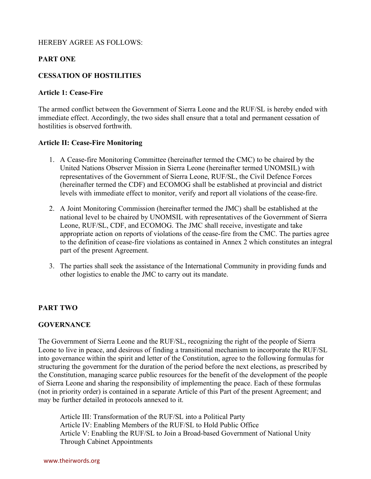#### <span id="page-2-0"></span>HEREBY AGREE AS FOLLOWS:

## **PART ONE**

## **CESSATION OF HOSTILITIES**

#### **Article 1: Cease-Fire**

The armed conflict between the Government of Sierra Leone and the RUF/SL is hereby ended with immediate effect. Accordingly, the two sides shall ensure that a total and permanent cessation of hostilities is observed forthwith.

#### **Article II: Cease-Fire Monitoring**

- 1. A Cease-fire Monitoring Committee (hereinafter termed the CMC) to be chaired by the United Nations Observer Mission in Sierra Leone (hereinafter termed UNOMSIL) with representatives of the Government of Sierra Leone, RUF/SL, the Civil Defence Forces (hereinafter termed the CDF) and ECOMOG shall be established at provincial and district levels with immediate effect to monitor, verify and report all violations of the cease-fire.
- 2. A Joint Monitoring Commission (hereinafter termed the JMC) shall be established at the national level to be chaired by UNOMSIL with representatives of the Government of Sierra Leone, RUF/SL, CDF, and ECOMOG. The JMC shall receive, investigate and take appropriate action on reports of violations of the cease-fire from the CMC. The parties agree to the definition of cease-fire violations as contained in Annex 2 which constitutes an integral part of the present Agreement.
- 3. The parties shall seek the assistance of the International Community in providing funds and other logistics to enable the JMC to carry out its mandate.

#### **PART TWO**

#### **GOVERNANCE**

The Government of Sierra Leone and the RUF/SL, recognizing the right of the people of Sierra Leone to live in peace, and desirous of finding a transitional mechanism to incorporate the RUF/SL into governance within the spirit and letter of the Constitution, agree to the following formulas for structuring the government for the duration of the period before the next elections, as prescribed by the Constitution, managing scarce public resources for the benefit of the development of the people of Sierra Leone and sharing the responsibility of implementing the peace. Each of these formulas (not in priority order) is contained in a separate Article of this Part of the present Agreement; and may be further detailed in protocols annexed to it.

Article III: Transformation of the RUF/SL into a Political Party Article IV: Enabling Members of the RUF/SL to Hold Public Office Article V: Enabling the RUF/SL to Join a Broad-based Government of National Unity Through Cabinet Appointments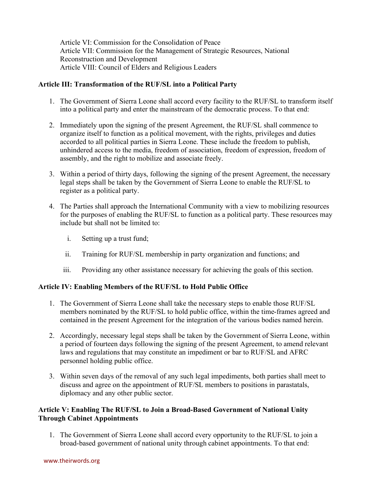Article VI: Commission for the Consolidation of Peace Article VII: Commission for the Management of Strategic Resources, National Reconstruction and Development Article VIII: Council of Elders and Religious Leaders

#### **Article III: Transformation of the RUF/SL into a Political Party**

- 1. The Government of Sierra Leone shall accord every facility to the RUF/SL to transform itself into a political party and enter the mainstream of the democratic process. To that end:
- 2. Immediately upon the signing of the present Agreement, the RUF/SL shall commence to organize itself to function as a political movement, with the rights, privileges and duties accorded to all political parties in Sierra Leone. These include the freedom to publish, unhindered access to the media, freedom of association, freedom of expression, freedom of assembly, and the right to mobilize and associate freely.
- 3. Within a period of thirty days, following the signing of the present Agreement, the necessary legal steps shall be taken by the Government of Sierra Leone to enable the RUF/SL to register as a political party.
- 4. The Parties shall approach the International Community with a view to mobilizing resources for the purposes of enabling the RUF/SL to function as a political party. These resources may include but shall not be limited to:
	- i. Setting up a trust fund;
	- ii. Training for RUF/SL membership in party organization and functions; and
	- iii. Providing any other assistance necessary for achieving the goals of this section.

## **Article IV: Enabling Members of the RUF/SL to Hold Public Office**

- 1. The Government of Sierra Leone shall take the necessary steps to enable those RUF/SL members nominated by the RUF/SL to hold public office, within the time-frames agreed and contained in the present Agreement for the integration of the various bodies named herein.
- 2. Accordingly, necessary legal steps shall be taken by the Government of Sierra Leone, within a period of fourteen days following the signing of the present Agreement, to amend relevant laws and regulations that may constitute an impediment or bar to RUF/SL and AFRC personnel holding public office.
- 3. Within seven days of the removal of any such legal impediments, both parties shall meet to discuss and agree on the appointment of RUF/SL members to positions in parastatals, diplomacy and any other public sector.

## **Article V: Enabling The RUF/SL to Join a Broad-Based Government of National Unity Through Cabinet Appointments**

1. The Government of Sierra Leone shall accord every opportunity to the RUF/SL to join a broad-based government of national unity through cabinet appointments. To that end: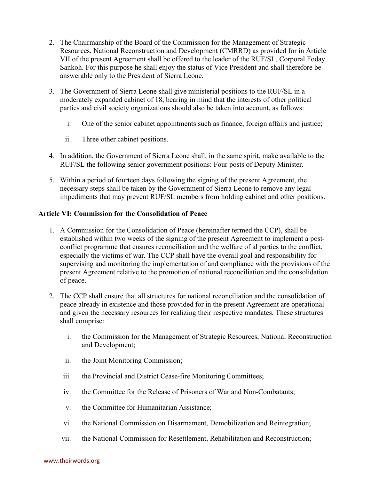- 2. The Chairmanship of the Board of the Commission for the Management of Strategic Resources, National Reconstruction and Development (CMRRD) as provided for in Article VII of the present Agreement shall be offered to the leader of the RUF/SL, Corporal Foday Sankoh. For this purpose he shall enjoy the status of Vice President and shall therefore be answerable only to the President of Sierra Leone.
- 3. The Government of Sierra Leone shall give ministerial positions to the RUF/SL in a moderately expanded cabinet of 18, bearing in mind that the interests of other political parties and civil society organizations should also be taken into account, as follows:
	- i. One of the senior cabinet appointments such as finance, foreign affairs and justice;
	- ii. Three other cabinet positions.
- 4. In addition, the Government of Sierra Leone shall, in the same spirit, make available to the RUF/SL the following senior government positions: Four posts of Deputy Minister.
- 5. Within a period of fourteen days following the signing of the present Agreement, the necessary steps shall be taken by the Government of Sierra Leone to remove any legal impediments that may prevent RUF/SL members from holding cabinet and other positions.

#### **Article VI: Commission for the Consolidation of Peace**

- 1. A Commission for the Consolidation of Peace (hereinafter termed the CCP), shall be established within two weeks of the signing of the present Agreement to implement a postconflict programme that ensures reconciliation and the welfare of al parties to the conflict, especially the victims of war. The CCP shall have the overall goal and responsibility for supervising and monitoring the implementation of and compliance with the provisions of the present Agreement relative to the promotion of national reconciliation and the consolidation of peace.
- 2. The CCP shall ensure that all structures for national reconciliation and the consolidation of peace already in existence and those provided for in the present Agreement are operational and given the necessary resources for realizing their respective mandates. These structures shall comprise:
	- i. the Commission for the Management of Strategic Resources, National Reconstruction and Development;
	- ii. the Joint Monitoring Commission;
	- iii. the Provincial and District Cease-fire Monitoring Committees;
	- iv. the Committee for the Release of Prisoners of War and Non-Combatants;
	- v. the Committee for Humanitarian Assistance;
	- vi. the National Commission on Disarmament, Demobilization and Reintegration;
	- vii. the National Commission for Resettlement, Rehabilitation and Reconstruction;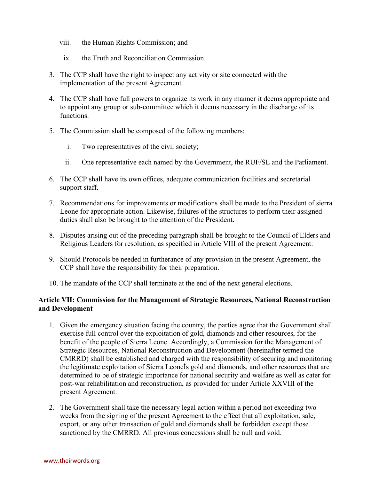- viii. the Human Rights Commission; and
	- ix. the Truth and Reconciliation Commission.
- 3. The CCP shall have the right to inspect any activity or site connected with the implementation of the present Agreement.
- 4. The CCP shall have full powers to organize its work in any manner it deems appropriate and to appoint any group or sub-committee which it deems necessary in the discharge of its functions.
- 5. The Commission shall be composed of the following members:
	- i. Two representatives of the civil society;
	- ii. One representative each named by the Government, the RUF/SL and the Parliament.
- 6. The CCP shall have its own offices, adequate communication facilities and secretarial support staff.
- 7. Recommendations for improvements or modifications shall be made to the President of sierra Leone for appropriate action. Likewise, failures of the structures to perform their assigned duties shall also be brought to the attention of the President.
- 8. Disputes arising out of the preceding paragraph shall be brought to the Council of Elders and Religious Leaders for resolution, as specified in Article VIII of the present Agreement.
- 9. Should Protocols be needed in furtherance of any provision in the present Agreement, the CCP shall have the responsibility for their preparation.
- 10. The mandate of the CCP shall terminate at the end of the next general elections.

#### **Article VII: Commission for the Management of Strategic Resources, National Reconstruction and Development**

- 1. Given the emergency situation facing the country, the parties agree that the Government shall exercise full control over the exploitation of gold, diamonds and other resources, for the benefit of the people of Sierra Leone. Accordingly, a Commission for the Management of Strategic Resources, National Reconstruction and Development (hereinafter termed the CMRRD) shall be established and charged with the responsibility of securing and monitoring the legitimate exploitation of Sierra LeoneÌs gold and diamonds, and other resources that are determined to be of strategic importance for national security and welfare as well as cater for post-war rehabilitation and reconstruction, as provided for under Article XXVIII of the present Agreement.
- 2. The Government shall take the necessary legal action within a period not exceeding two weeks from the signing of the present Agreement to the effect that all exploitation, sale, export, or any other transaction of gold and diamonds shall be forbidden except those sanctioned by the CMRRD. All previous concessions shall be null and void.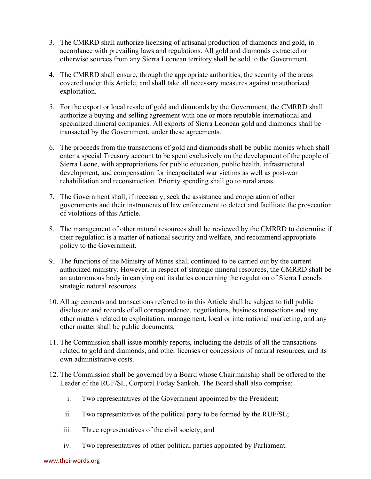- 3. The CMRRD shall authorize licensing of artisanal production of diamonds and gold, in accordance with prevailing laws and regulations. All gold and diamonds extracted or otherwise sources from any Sierra Leonean territory shall be sold to the Government.
- 4. The CMRRD shall ensure, through the appropriate authorities, the security of the areas covered under this Article, and shall take all necessary measures against unauthorized exploitation.
- 5. For the export or local resale of gold and diamonds by the Government, the CMRRD shall authorize a buying and selling agreement with one or more reputable international and specialized mineral companies. All exports of Sierra Leonean gold and diamonds shall be transacted by the Government, under these agreements.
- 6. The proceeds from the transactions of gold and diamonds shall be public monies which shall enter a special Treasury account to be spent exclusively on the development of the people of Sierra Leone, with appropriations for public education, public health, infrastructural development, and compensation for incapacitated war victims as well as post-war rehabilitation and reconstruction. Priority spending shall go to rural areas.
- 7. The Government shall, if necessary, seek the assistance and cooperation of other governments and their instruments of law enforcement to detect and facilitate the prosecution of violations of this Article.
- 8. The management of other natural resources shall be reviewed by the CMRRD to determine if their regulation is a matter of national security and welfare, and recommend appropriate policy to the Government.
- 9. The functions of the Ministry of Mines shall continued to be carried out by the current authorized ministry. However, in respect of strategic mineral resources, the CMRRD shall be an autonomous body in carrying out its duties concerning the regulation of Sierra LeoneÌs strategic natural resources.
- 10. All agreements and transactions referred to in this Article shall be subject to full public disclosure and records of all correspondence, negotiations, business transactions and any other matters related to exploitation, management, local or international marketing, and any other matter shall be public documents.
- 11. The Commission shall issue monthly reports, including the details of all the transactions related to gold and diamonds, and other licenses or concessions of natural resources, and its own administrative costs.
- 12. The Commission shall be governed by a Board whose Chairmanship shall be offered to the Leader of the RUF/SL, Corporal Foday Sankoh. The Board shall also comprise:
	- i. Two representatives of the Government appointed by the President;
	- ii. Two representatives of the political party to be formed by the RUF/SL;
	- iii. Three representatives of the civil society; and
	- iv. Two representatives of other political parties appointed by Parliament.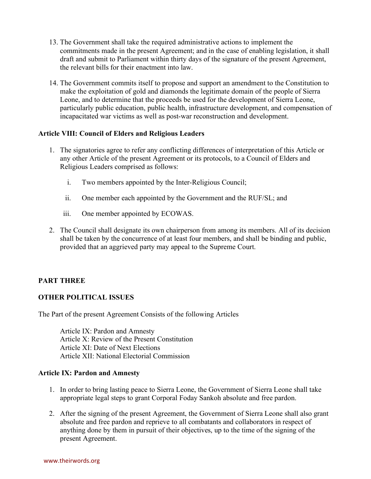- <span id="page-7-0"></span>13. The Government shall take the required administrative actions to implement the commitments made in the present Agreement; and in the case of enabling legislation, it shall draft and submit to Parliament within thirty days of the signature of the present Agreement, the relevant bills for their enactment into law.
- 14. The Government commits itself to propose and support an amendment to the Constitution to make the exploitation of gold and diamonds the legitimate domain of the people of Sierra Leone, and to determine that the proceeds be used for the development of Sierra Leone, particularly public education, public health, infrastructure development, and compensation of incapacitated war victims as well as post-war reconstruction and development.

## **Article VIII: Council of Elders and Religious Leaders**

- 1. The signatories agree to refer any conflicting differences of interpretation of this Article or any other Article of the present Agreement or its protocols, to a Council of Elders and Religious Leaders comprised as follows:
	- i. Two members appointed by the Inter-Religious Council;
	- ii. One member each appointed by the Government and the RUF/SL; and
	- iii. One member appointed by ECOWAS.
- 2. The Council shall designate its own chairperson from among its members. All of its decision shall be taken by the concurrence of at least four members, and shall be binding and public, provided that an aggrieved party may appeal to the Supreme Court.

## **PART THREE**

## **OTHER POLITICAL ISSUES**

The Part of the present Agreement Consists of the following Articles

Article IX: Pardon and Amnesty Article X: Review of the Present Constitution Article XI: Date of Next Elections Article XII: National Electorial Commission

#### **Article IX: Pardon and Amnesty**

- 1. In order to bring lasting peace to Sierra Leone, the Government of Sierra Leone shall take appropriate legal steps to grant Corporal Foday Sankoh absolute and free pardon.
- 2. After the signing of the present Agreement, the Government of Sierra Leone shall also grant absolute and free pardon and reprieve to all combatants and collaborators in respect of anything done by them in pursuit of their objectives, up to the time of the signing of the present Agreement.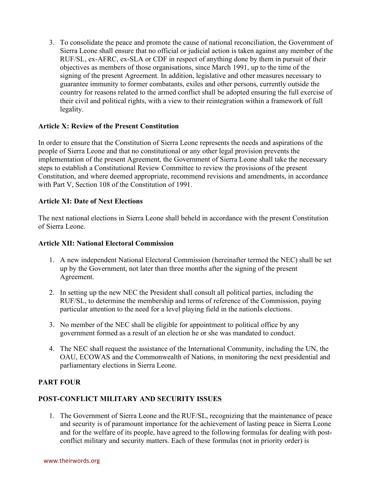3. To consolidate the peace and promote the cause of national reconciliation, the Government of Sierra Leone shall ensure that no official or judicial action is taken against any member of the RUF/SL, ex-AFRC, ex-SLA or CDF in respect of anything done by them in pursuit of their objectives as members of those organisations, since March 1991, up to the time of the signing of the present Agreement. In addition, legislative and other measures necessary to guarantee immunity to former combatants, exiles and other persons, currently outside the country for reasons related to the armed conflict shall be adopted ensuring the full exercise of their civil and political rights, with a view to their reintegration within a framework of full legality.

## **Article X: Review of the Present Constitution**

In order to ensure that the Constitution of Sierra Leone represents the needs and aspirations of the people of Sierra Leone and that no constitutional or any other legal provision prevents the implementation of the present Agreement, the Government of Sierra Leone shall take the necessary steps to establish a Constitutional Review Committee to review the provisions of the present Constitution, and where deemed appropriate, recommend revisions and amendments, in accordance with Part V, Section 108 of the Constitution of 1991.

## **Article XI: Date of Next Elections**

The next national elections in Sierra Leone shall beheld in accordance with the present Constitution of Sierra Leone.

#### **Article XII: National Electoral Commission**

- 1. A new independent National Electoral Commission (hereinafter termed the NEC) shall be set up by the Government, not later than three months after the signing of the present Agreement.
- 2. In setting up the new NEC the President shall consult all political parties, including the RUF/SL, to determine the membership and terms of reference of the Commission, paying particular attention to the need for a level playing field in the nationÌs elections.
- 3. No member of the NEC shall be eligible for appointment to political office by any government formed as a result of an election he or she was mandated to conduct.
- 4. The NEC shall request the assistance of the International Community, including the UN, the OAU, ECOWAS and the Commonwealth of Nations, in monitoring the next presidential and parliamentary elections in Sierra Leone.

## **PART FOUR**

## **POST-CONFLICT MILITARY AND SECURITY ISSUES**

1. The Government of Sierra Leone and the RUF/SL, recognizing that the maintenance of peace and security is of paramount importance for the achievement of lasting peace in Sierra Leone and for the welfare of its people, have agreed to the following formulas for dealing with postconflict military and security matters. Each of these formulas (not in priority order) is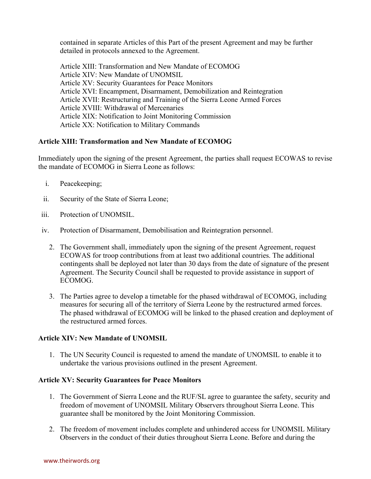<span id="page-9-0"></span>contained in separate Articles of this Part of the present Agreement and may be further detailed in protocols annexed to the Agreement.

Article XIII: Transformation and New Mandate of ECOMOG Article XIV: New Mandate of UNOMSIL Article XV: Security Guarantees for Peace Monitors Article XVI: Encampment, Disarmament, Demobilization and Reintegration Article XVII: Restructuring and Training of the Sierra Leone Armed Forces Article XVIII: Withdrawal of Mercenaries Article XIX: Notification to Joint Monitoring Commission Article XX: Notification to Military Commands

## **Article XIII: Transformation and New Mandate of ECOMOG**

Immediately upon the signing of the present Agreement, the parties shall request ECOWAS to revise the mandate of ECOMOG in Sierra Leone as follows:

- i. Peacekeeping;
- ii. Security of the State of Sierra Leone;
- iii. Protection of UNOMSIL.
- iv. Protection of Disarmament, Demobilisation and Reintegration personnel.
	- 2. The Government shall, immediately upon the signing of the present Agreement, request ECOWAS for troop contributions from at least two additional countries. The additional contingents shall be deployed not later than 30 days from the date of signature of the present Agreement. The Security Council shall be requested to provide assistance in support of ECOMOG.
	- 3. The Parties agree to develop a timetable for the phased withdrawal of ECOMOG, including measures for securing all of the territory of Sierra Leone by the restructured armed forces. The phased withdrawal of ECOMOG will be linked to the phased creation and deployment of the restructured armed forces.

#### **Article XIV: New Mandate of UNOMSIL**

1. The UN Security Council is requested to amend the mandate of UNOMSIL to enable it to undertake the various provisions outlined in the present Agreement.

#### **Article XV: Security Guarantees for Peace Monitors**

- 1. The Government of Sierra Leone and the RUF/SL agree to guarantee the safety, security and freedom of movement of UNOMSIL Military Observers throughout Sierra Leone. This guarantee shall be monitored by the Joint Monitoring Commission.
- 2. The freedom of movement includes complete and unhindered access for UNOMSIL Military Observers in the conduct of their duties throughout Sierra Leone. Before and during the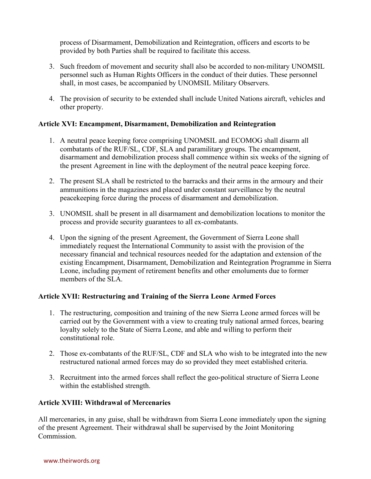process of Disarmament, Demobilization and Reintegration, officers and escorts to be provided by both Parties shall be required to facilitate this access.

- 3. Such freedom of movement and security shall also be accorded to non-military UNOMSIL personnel such as Human Rights Officers in the conduct of their duties. These personnel shall, in most cases, be accompanied by UNOMSIL Military Observers.
- 4. The provision of security to be extended shall include United Nations aircraft, vehicles and other property.

## **Article XVI: Encampment, Disarmament, Demobilization and Reintegration**

- 1. A neutral peace keeping force comprising UNOMSIL and ECOMOG shall disarm all combatants of the RUF/SL, CDF, SLA and paramilitary groups. The encampment, disarmament and demobilization process shall commence within six weeks of the signing of the present Agreement in line with the deployment of the neutral peace keeping force.
- 2. The present SLA shall be restricted to the barracks and their arms in the armoury and their ammunitions in the magazines and placed under constant surveillance by the neutral peacekeeping force during the process of disarmament and demobilization.
- 3. UNOMSIL shall be present in all disarmament and demobilization locations to monitor the process and provide security guarantees to all ex-combatants.
- 4. Upon the signing of the present Agreement, the Government of Sierra Leone shall immediately request the International Community to assist with the provision of the necessary financial and technical resources needed for the adaptation and extension of the existing Encampment, Disarmament, Demobilization and Reintegration Programme in Sierra Leone, including payment of retirement benefits and other emoluments due to former members of the SLA.

## **Article XVII: Restructuring and Training of the Sierra Leone Armed Forces**

- 1. The restructuring, composition and training of the new Sierra Leone armed forces will be carried out by the Government with a view to creating truly national armed forces, bearing loyalty solely to the State of Sierra Leone, and able and willing to perform their constitutional role.
- 2. Those ex-combatants of the RUF/SL, CDF and SLA who wish to be integrated into the new restructured national armed forces may do so provided they meet established criteria.
- 3. Recruitment into the armed forces shall reflect the geo-political structure of Sierra Leone within the established strength.

#### **Article XVIII: Withdrawal of Mercenaries**

All mercenaries, in any guise, shall be withdrawn from Sierra Leone immediately upon the signing of the present Agreement. Their withdrawal shall be supervised by the Joint Monitoring Commission.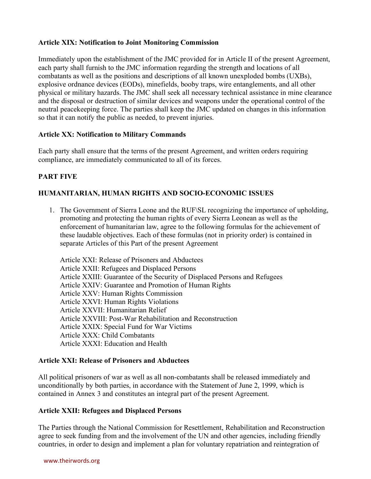## <span id="page-11-0"></span>**Article XIX: Notification to Joint Monitoring Commission**

Immediately upon the establishment of the JMC provided for in Article II of the present Agreement, each party shall furnish to the JMC information regarding the strength and locations of all combatants as well as the positions and descriptions of all known unexploded bombs (UXBs), explosive ordnance devices (EODs), minefields, booby traps, wire entanglements, and all other physical or military hazards. The JMC shall seek all necessary technical assistance in mine clearance and the disposal or destruction of similar devices and weapons under the operational control of the neutral peacekeeping force. The parties shall keep the JMC updated on changes in this information so that it can notify the public as needed, to prevent injuries.

## **Article XX: Notification to Military Commands**

Each party shall ensure that the terms of the present Agreement, and written orders requiring compliance, are immediately communicated to all of its forces.

## **PART FIVE**

## **HUMANITARIAN, HUMAN RIGHTS AND SOCIO-ECONOMIC ISSUES**

1. The Government of Sierra Leone and the RUF\SL recognizing the importance of upholding, promoting and protecting the human rights of every Sierra Leonean as well as the enforcement of humanitarian law, agree to the following formulas for the achievement of these laudable objectives. Each of these formulas (not in priority order) is contained in separate Articles of this Part of the present Agreement

Article XXI: Release of Prisoners and Abductees Article XXII: Refugees and Displaced Persons Article XXIII: Guarantee of the Security of Displaced Persons and Refugees Article XXIV: Guarantee and Promotion of Human Rights Article XXV: Human Rights Commission Article XXVI: Human Rights Violations Article XXVII: Humanitarian Relief Article XXVIII: Post-War Rehabilitation and Reconstruction Article XXIX: Special Fund for War Victims Article XXX: Child Combatants Article XXXI: Education and Health

#### **Article XXI: Release of Prisoners and Abductees**

All political prisoners of war as well as all non-combatants shall be released immediately and unconditionally by both parties, in accordance with the Statement of June 2, 1999, which is contained in Annex 3 and constitutes an integral part of the present Agreement.

#### **Article XXII: Refugees and Displaced Persons**

The Parties through the National Commission for Resettlement, Rehabilitation and Reconstruction agree to seek funding from and the involvement of the UN and other agencies, including friendly countries, in order to design and implement a plan for voluntary repatriation and reintegration of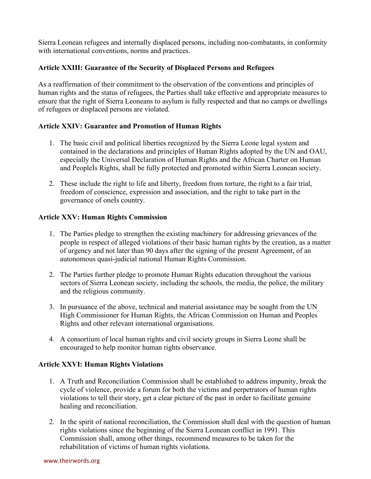Sierra Leonean refugees and internally displaced persons, including non-combatants, in conformity with international conventions, norms and practices.

## **Article XXIII: Guarantee of the Security of Displaced Persons and Refugees**

As a reaffirmation of their commitment to the observation of the conventions and principles of human rights and the status of refugees, the Parties shall take effective and appropriate measures to ensure that the right of Sierra Leoneans to asylum is fully respected and that no camps or dwellings of refugees or displaced persons are violated.

## **Article XXIV: Guarantee and Promotion of Human Rights**

- 1. The basic civil and political liberties recognized by the Sierra Leone legal system and contained in the declarations and principles of Human Rights adopted by the UN and OAU, especially the Universal Declaration of Human Rights and the African Charter on Human and PeopleÌs Rights, shall be fully protected and promoted within Sierra Leonean society.
- 2. These include the right to life and liberty, freedom from torture, the right to a fair trial, freedom of conscience, expression and association, and the right to take part in the governance of oneÌs country.

## **Article XXV: Human Rights Commission**

- 1. The Parties pledge to strengthen the existing machinery for addressing grievances of the people in respect of alleged violations of their basic human rights by the creation, as a matter of urgency and not later than 90 days after the signing of the present Agreement, of an autonomous quasi-judicial national Human Rights Commission.
- 2. The Parties further pledge to promote Human Rights education throughout the various sectors of Sierra Leonean society, including the schools, the media, the police, the military and the religious community.
- 3. In pursuance of the above, technical and material assistance may be sought from the UN High Commissioner for Human Rights, the African Commission on Human and Peoples Rights and other relevant international organisations.
- 4. A consortium of local human rights and civil society groups in Sierra Leone shall be encouraged to help monitor human rights observance.

## **Article XXVI: Human Rights Violations**

- 1. A Truth and Reconciliation Commission shall be established to address impunity, break the cycle of violence, provide a forum for both the victims and perpetrators of human rights violations to tell their story, get a clear picture of the past in order to facilitate genuine healing and reconciliation.
- 2. In the spirit of national reconciliation, the Commission shall deal with the question of human rights violations since the beginning of the Sierra Leonean conflict in 1991. This Commission shall, among other things, recommend measures to be taken for the rehabilitation of victims of human rights violations.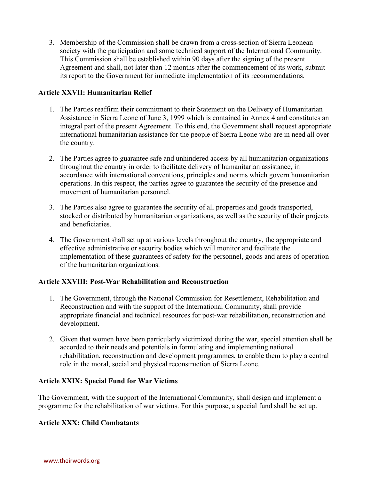3. Membership of the Commission shall be drawn from a cross-section of Sierra Leonean society with the participation and some technical support of the International Community. This Commission shall be established within 90 days after the signing of the present Agreement and shall, not later than 12 months after the commencement of its work, submit its report to the Government for immediate implementation of its recommendations.

## **Article XXVII: Humanitarian Relief**

- 1. The Parties reaffirm their commitment to their Statement on the Delivery of Humanitarian Assistance in Sierra Leone of June 3, 1999 which is contained in Annex 4 and constitutes an integral part of the present Agreement. To this end, the Government shall request appropriate international humanitarian assistance for the people of Sierra Leone who are in need all over the country.
- 2. The Parties agree to guarantee safe and unhindered access by all humanitarian organizations throughout the country in order to facilitate delivery of humanitarian assistance, in accordance with international conventions, principles and norms which govern humanitarian operations. In this respect, the parties agree to guarantee the security of the presence and movement of humanitarian personnel.
- 3. The Parties also agree to guarantee the security of all properties and goods transported, stocked or distributed by humanitarian organizations, as well as the security of their projects and beneficiaries.
- 4. The Government shall set up at various levels throughout the country, the appropriate and effective administrative or security bodies which will monitor and facilitate the implementation of these guarantees of safety for the personnel, goods and areas of operation of the humanitarian organizations.

## **Article XXVIII: Post-War Rehabilitation and Reconstruction**

- 1. The Government, through the National Commission for Resettlement, Rehabilitation and Reconstruction and with the support of the International Community, shall provide appropriate financial and technical resources for post-war rehabilitation, reconstruction and development.
- 2. Given that women have been particularly victimized during the war, special attention shall be accorded to their needs and potentials in formulating and implementing national rehabilitation, reconstruction and development programmes, to enable them to play a central role in the moral, social and physical reconstruction of Sierra Leone.

#### **Article XXIX: Special Fund for War Victims**

The Government, with the support of the International Community, shall design and implement a programme for the rehabilitation of war victims. For this purpose, a special fund shall be set up.

## **Article XXX: Child Combatants**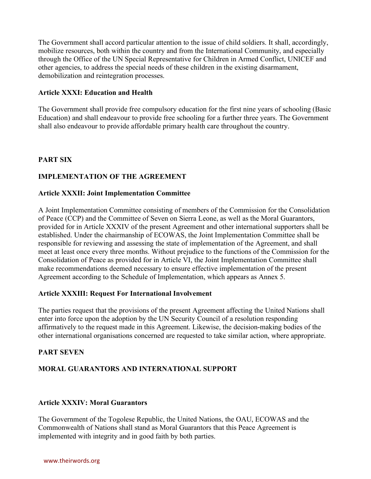<span id="page-14-0"></span>The Government shall accord particular attention to the issue of child soldiers. It shall, accordingly, mobilize resources, both within the country and from the International Community, and especially through the Office of the UN Special Representative for Children in Armed Conflict, UNICEF and other agencies, to address the special needs of these children in the existing disarmament, demobilization and reintegration processes.

## **Article XXXI: Education and Health**

The Government shall provide free compulsory education for the first nine years of schooling (Basic Education) and shall endeavour to provide free schooling for a further three years. The Government shall also endeavour to provide affordable primary health care throughout the country.

## **PART SIX**

## **IMPLEMENTATION OF THE AGREEMENT**

## **Article XXXII: Joint Implementation Committee**

A Joint Implementation Committee consisting of members of the Commission for the Consolidation of Peace (CCP) and the Committee of Seven on Sierra Leone, as well as the Moral Guarantors, provided for in Article XXXIV of the present Agreement and other international supporters shall be established. Under the chairmanship of ECOWAS, the Joint Implementation Committee shall be responsible for reviewing and assessing the state of implementation of the Agreement, and shall meet at least once every three months. Without prejudice to the functions of the Commission for the Consolidation of Peace as provided for in Article VI, the Joint Implementation Committee shall make recommendations deemed necessary to ensure effective implementation of the present Agreement according to the Schedule of Implementation, which appears as Annex 5.

#### **Article XXXIII: Request For International Involvement**

The parties request that the provisions of the present Agreement affecting the United Nations shall enter into force upon the adoption by the UN Security Council of a resolution responding affirmatively to the request made in this Agreement. Likewise, the decision-making bodies of the other international organisations concerned are requested to take similar action, where appropriate.

#### **PART SEVEN**

## **MORAL GUARANTORS AND INTERNATIONAL SUPPORT**

#### **Article XXXIV: Moral Guarantors**

The Government of the Togolese Republic, the United Nations, the OAU, ECOWAS and the Commonwealth of Nations shall stand as Moral Guarantors that this Peace Agreement is implemented with integrity and in good faith by both parties.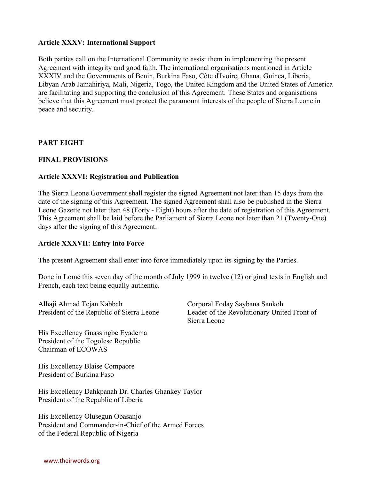#### <span id="page-15-0"></span>**Article XXXV: International Support**

Both parties call on the International Community to assist them in implementing the present Agreement with integrity and good faith. The international organisations mentioned in Article XXXIV and the Governments of Benin, Burkina Faso, Côte d'Ivoire, Ghana, Guinea, Liberia, Libyan Arab Jamahiriya, Mali, Nigeria, Togo, the United Kingdom and the United States of America are facilitating and supporting the conclusion of this Agreement. These States and organisations believe that this Agreement must protect the paramount interests of the people of Sierra Leone in peace and security.

#### **PART EIGHT**

#### **FINAL PROVISIONS**

#### **Article XXXVI: Registration and Publication**

The Sierra Leone Government shall register the signed Agreement not later than 15 days from the date of the signing of this Agreement. The signed Agreement shall also be published in the Sierra Leone Gazette not later than 48 (Forty - Eight) hours after the date of registration of this Agreement. This Agreement shall be laid before the Parliament of Sierra Leone not later than 21 (Twenty-One) days after the signing of this Agreement.

#### **Article XXXVII: Entry into Force**

The present Agreement shall enter into force immediately upon its signing by the Parties.

Done in Lomé this seven day of the month of July 1999 in twelve (12) original texts in English and French, each text being equally authentic.

Alhaji Ahmad Tejan Kabbah President of the Republic of Sierra Leone

His Excellency Gnassingbe Eyadema President of the Togolese Republic Chairman of ECOWAS

His Excellency Blaise Compaore President of Burkina Faso

His Excellency Dahkpanah Dr. Charles Ghankey Taylor President of the Republic of Liberia

His Excellency Olusegun Obasanjo President and Commander-in-Chief of the Armed Forces of the Federal Republic of Nigeria

Corporal Foday Saybana Sankoh Leader of the Revolutionary United Front of Sierra Leone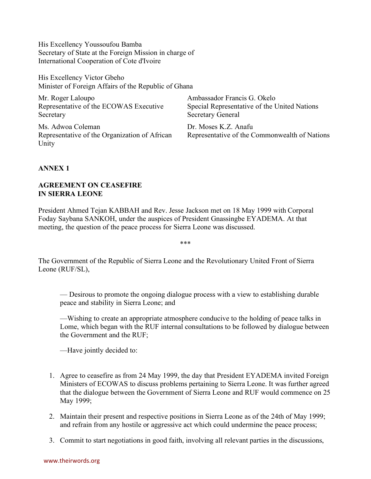<span id="page-16-0"></span>His Excellency Youssoufou Bamba Secretary of State at the Foreign Mission in charge of International Cooperation of Cote d'Ivoire

His Excellency Victor Gbeho Minister of Foreign Affairs of the Republic of Ghana

| Mr. Roger Laloupo                             | Ambassador Francis G. Okelo                   |
|-----------------------------------------------|-----------------------------------------------|
| Representative of the ECOWAS Executive        | Special Representative of the United Nations  |
| Secretary                                     | <b>Secretary General</b>                      |
| Ms. Adwoa Coleman                             | Dr. Moses K.Z. Anafu                          |
| Representative of the Organization of African | Representative of the Commonwealth of Nations |
| Unity                                         |                                               |

#### **ANNEX 1**

#### **AGREEMENT ON CEASEFIRE IN SIERRA LEONE**

President Ahmed Tejan KABBAH and Rev. Jesse Jackson met on 18 May 1999 with Corporal Foday Saybana SANKOH, under the auspices of President Gnassingbe EYADEMA. At that meeting, the question of the peace process for Sierra Leone was discussed.

\*\*\*

The Government of the Republic of Sierra Leone and the Revolutionary United Front of Sierra Leone (RUF/SL),

— Desirous to promote the ongoing dialogue process with a view to establishing durable peace and stability in Sierra Leone; and

—Wishing to create an appropriate atmosphere conducive to the holding of peace talks in Lome, which began with the RUF internal consultations to be followed by dialogue between the Government and the RUF;

—Have jointly decided to:

- 1. Agree to ceasefire as from 24 May 1999, the day that President EYADEMA invited Foreign Ministers of ECOWAS to discuss problems pertaining to Sierra Leone. It was further agreed that the dialogue between the Government of Sierra Leone and RUF would commence on 25 May 1999;
- 2. Maintain their present and respective positions in Sierra Leone as of the 24th of May 1999; and refrain from any hostile or aggressive act which could undermine the peace process;
- 3. Commit to start negotiations in good faith, involving all relevant parties in the discussions,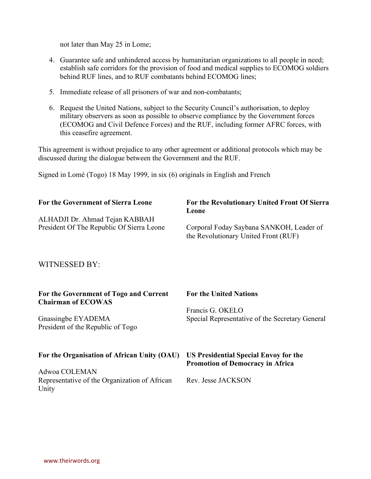not later than May 25 in Lome;

- 4. Guarantee safe and unhindered access by humanitarian organizations to all people in need; establish safe corridors for the provision of food and medical supplies to ECOMOG soldiers behind RUF lines, and to RUF combatants behind ECOMOG lines;
- 5. Immediate release of all prisoners of war and non-combatants;
- 6. Request the United Nations, subject to the Security Council's authorisation, to deploy military observers as soon as possible to observe compliance by the Government forces (ECOMOG and Civil Defence Forces) and the RUF, including former AFRC forces, with this ceasefire agreement.

This agreement is without prejudice to any other agreement or additional protocols which may be discussed during the dialogue between the Government and the RUF.

Signed in Lomé (Togo) 18 May 1999, in six (6) originals in English and French

| <b>For the Government of Sierra Leone</b><br>ALHADJI Dr. Ahmad Tejan KABBAH<br>President Of The Republic Of Sierra Leone       | For the Revolutionary United Front Of Sierra<br>Leone<br>Corporal Foday Saybana SANKOH, Leader of<br>the Revolutionary United Front (RUF) |
|--------------------------------------------------------------------------------------------------------------------------------|-------------------------------------------------------------------------------------------------------------------------------------------|
| WITNESSED BY:                                                                                                                  |                                                                                                                                           |
| For the Government of Togo and Current<br><b>Chairman of ECOWAS</b><br>Gnassingbe EYADEMA<br>President of the Republic of Togo | <b>For the United Nations</b><br>Francis G. OKELO<br>Special Representative of the Secretary General                                      |
| For the Organisation of African Unity (OAU)<br>Adwoa COLEMAN<br>Representative of the Organization of African<br>Unity         | <b>US Presidential Special Envoy for the</b><br><b>Promotion of Democracy in Africa</b><br>Rev. Jesse JACKSON                             |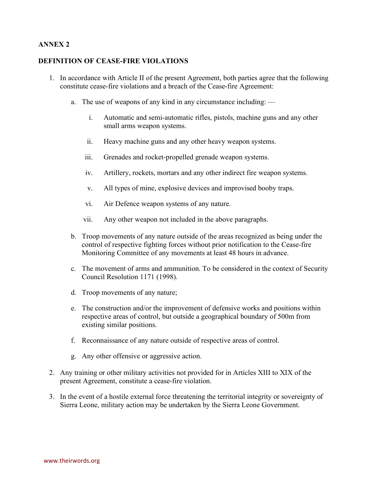#### <span id="page-18-0"></span>**ANNEX 2**

#### **DEFINITION OF CEASE-FIRE VIOLATIONS**

- 1. In accordance with Article II of the present Agreement, both parties agree that the following constitute cease-fire violations and a breach of the Cease-fire Agreement:
	- a. The use of weapons of any kind in any circumstance including:
		- i. Automatic and semi-automatic rifles, pistols, machine guns and any other small arms weapon systems.
		- ii. Heavy machine guns and any other heavy weapon systems.
		- iii. Grenades and rocket-propelled grenade weapon systems.
		- iv. Artillery, rockets, mortars and any other indirect fire weapon systems.
		- v. All types of mine, explosive devices and improvised booby traps.
		- vi. Air Defence weapon systems of any nature.
		- vii. Any other weapon not included in the above paragraphs.
	- b. Troop movements of any nature outside of the areas recognized as being under the control of respective fighting forces without prior notification to the Cease-fire Monitoring Committee of any movements at least 48 hours in advance.
	- c. The movement of arms and ammunition. To be considered in the context of Security Council Resolution 1171 (1998).
	- d. Troop movements of any nature;
	- e. The construction and/or the improvement of defensive works and positions within respective areas of control, but outside a geographical boundary of 500m from existing similar positions.
	- f. Reconnaissance of any nature outside of respective areas of control.
	- g. Any other offensive or aggressive action.
- 2. Any training or other military activities not provided for in Articles XIII to XIX of the present Agreement, constitute a cease-fire violation.
- 3. In the event of a hostile external force threatening the territorial integrity or sovereignty of Sierra Leone, military action may be undertaken by the Sierra Leone Government.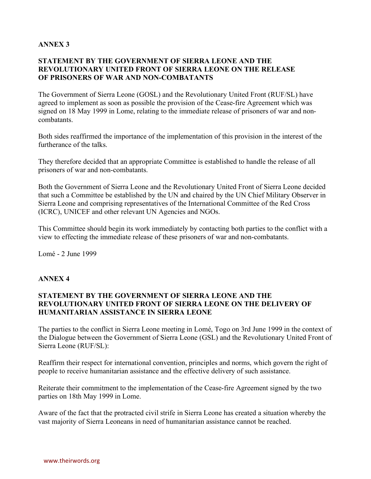## <span id="page-19-0"></span>**ANNEX 3**

## **STATEMENT BY THE GOVERNMENT OF SIERRA LEONE AND THE REVOLUTIONARY UNITED FRONT OF SIERRA LEONE ON THE RELEASE OF PRISONERS OF WAR AND NON-COMBATANTS**

The Government of Sierra Leone (GOSL) and the Revolutionary United Front (RUF/SL) have agreed to implement as soon as possible the provision of the Cease-fire Agreement which was signed on 18 May 1999 in Lome, relating to the immediate release of prisoners of war and noncombatants.

Both sides reaffirmed the importance of the implementation of this provision in the interest of the furtherance of the talks.

They therefore decided that an appropriate Committee is established to handle the release of all prisoners of war and non-combatants.

Both the Government of Sierra Leone and the Revolutionary United Front of Sierra Leone decided that such a Committee be established by the UN and chaired by the UN Chief Military Observer in Sierra Leone and comprising representatives of the International Committee of the Red Cross (ICRC), UNICEF and other relevant UN Agencies and NGOs.

This Committee should begin its work immediately by contacting both parties to the conflict with a view to effecting the immediate release of these prisoners of war and non-combatants.

Lomé - 2 June 1999

#### **ANNEX 4**

## **STATEMENT BY THE GOVERNMENT OF SIERRA LEONE AND THE REVOLUTIONARY UNITED FRONT OF SIERRA LEONE ON THE DELIVERY OF HUMANITARIAN ASSISTANCE IN SIERRA LEONE**

The parties to the conflict in Sierra Leone meeting in Lomé, Togo on 3rd June 1999 in the context of the Dialogue between the Government of Sierra Leone (GSL) and the Revolutionary United Front of Sierra Leone (RUF/SL):

Reaffirm their respect for international convention, principles and norms, which govern the right of people to receive humanitarian assistance and the effective delivery of such assistance.

Reiterate their commitment to the implementation of the Cease-fire Agreement signed by the two parties on 18th May 1999 in Lome.

Aware of the fact that the protracted civil strife in Sierra Leone has created a situation whereby the vast majority of Sierra Leoneans in need of humanitarian assistance cannot be reached.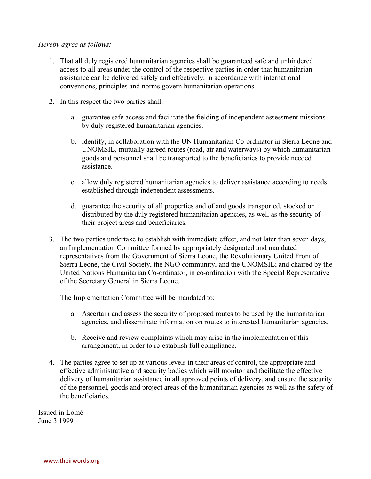#### *Hereby agree as follows:*

- 1. That all duly registered humanitarian agencies shall be guaranteed safe and unhindered access to all areas under the control of the respective parties in order that humanitarian assistance can be delivered safely and effectively, in accordance with international conventions, principles and norms govern humanitarian operations.
- 2. In this respect the two parties shall:
	- a. guarantee safe access and facilitate the fielding of independent assessment missions by duly registered humanitarian agencies.
	- b. identify, in collaboration with the UN Humanitarian Co-ordinator in Sierra Leone and UNOMSIL, mutually agreed routes (road, air and waterways) by which humanitarian goods and personnel shall be transported to the beneficiaries to provide needed assistance.
	- c. allow duly registered humanitarian agencies to deliver assistance according to needs established through independent assessments.
	- d. guarantee the security of all properties and of and goods transported, stocked or distributed by the duly registered humanitarian agencies, as well as the security of their project areas and beneficiaries.
- 3. The two parties undertake to establish with immediate effect, and not later than seven days, an Implementation Committee formed by appropriately designated and mandated representatives from the Government of Sierra Leone, the Revolutionary United Front of Sierra Leone, the Civil Society, the NGO community, and the UNOMSIL; and chaired by the United Nations Humanitarian Co-ordinator, in co-ordination with the Special Representative of the Secretary General in Sierra Leone.

The Implementation Committee will be mandated to:

- a. Ascertain and assess the security of proposed routes to be used by the humanitarian agencies, and disseminate information on routes to interested humanitarian agencies.
- b. Receive and review complaints which may arise in the implementation of this arrangement, in order to re-establish full compliance.
- 4. The parties agree to set up at various levels in their areas of control, the appropriate and effective administrative and security bodies which will monitor and facilitate the effective delivery of humanitarian assistance in all approved points of delivery, and ensure the security of the personnel, goods and project areas of the humanitarian agencies as well as the safety of the beneficiaries.

Issued in Lomé June 3 1999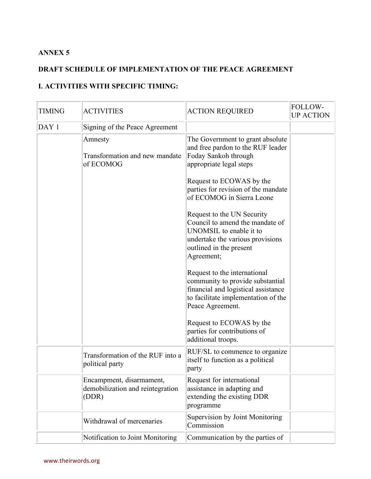## <span id="page-21-0"></span>**ANNEX 5**

## **DRAFT SCHEDULE OF IMPLEMENTATION OF THE PEACE AGREEMENT**

# **I. ACTIVITIES WITH SPECIFIC TIMING:**

| <b>TIMING</b> | <b>ACTIVITIES</b>                                                     | <b>ACTION REQUIRED</b>                                                                                                                                                | FOLLOW-<br><b>UP ACTION</b> |
|---------------|-----------------------------------------------------------------------|-----------------------------------------------------------------------------------------------------------------------------------------------------------------------|-----------------------------|
| DAY 1         | Signing of the Peace Agreement                                        |                                                                                                                                                                       |                             |
|               | Amnesty<br>Transformation and new mandate<br>of ECOMOG                | The Government to grant absolute<br>and free pardon to the RUF leader<br>Foday Sankoh through<br>appropriate legal steps                                              |                             |
|               |                                                                       | Request to ECOWAS by the<br>parties for revision of the mandate<br>of ECOMOG in Sierra Leone                                                                          |                             |
|               |                                                                       | Request to the UN Security<br>Council to amend the mandate of<br>UNOMSIL to enable it to<br>undertake the various provisions<br>outlined in the present<br>Agreement; |                             |
|               |                                                                       | Request to the international<br>community to provide substantial<br>financial and logistical assistance<br>to facilitate implementation of the<br>Peace Agreement.    |                             |
|               |                                                                       | Request to ECOWAS by the<br>parties for contributions of<br>additional troops.                                                                                        |                             |
|               | Transformation of the RUF into a<br>political party                   | RUF/SL to commence to organize<br>itself to function as a political<br>party                                                                                          |                             |
|               | Encampment, disarmament,<br>demobilization and reintegration<br>(DDR) | Request for international<br>assistance in adapting and<br>extending the existing DDR<br>programme                                                                    |                             |
|               | Withdrawal of mercenaries                                             | Supervision by Joint Monitoring<br>Commission                                                                                                                         |                             |
|               | Notification to Joint Monitoring                                      | Communication by the parties of                                                                                                                                       |                             |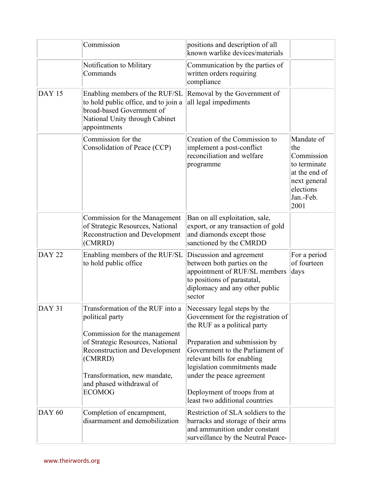|               | Commission                                                                                                                                                                                                                                                                      | positions and description of all<br>known warlike devices/materials                                                                                                                                                                                                                                  |                                                                                                                    |
|---------------|---------------------------------------------------------------------------------------------------------------------------------------------------------------------------------------------------------------------------------------------------------------------------------|------------------------------------------------------------------------------------------------------------------------------------------------------------------------------------------------------------------------------------------------------------------------------------------------------|--------------------------------------------------------------------------------------------------------------------|
|               | Notification to Military<br>Commands                                                                                                                                                                                                                                            | Communication by the parties of<br>written orders requiring<br>compliance                                                                                                                                                                                                                            |                                                                                                                    |
| <b>DAY 15</b> | Enabling members of the RUF/SL<br>to hold public office, and to join a<br>broad-based Government of<br>National Unity through Cabinet<br>appointments                                                                                                                           | Removal by the Government of<br>all legal impediments                                                                                                                                                                                                                                                |                                                                                                                    |
|               | Commission for the<br>Consolidation of Peace (CCP)                                                                                                                                                                                                                              | Creation of the Commission to<br>implement a post-conflict<br>reconciliation and welfare<br>programme                                                                                                                                                                                                | Mandate of<br>the<br>Commission<br>to terminate<br>at the end of<br>next general<br>elections<br>Jan.-Feb.<br>2001 |
|               | Commission for the Management<br>of Strategic Resources, National<br><b>Reconstruction and Development</b><br>(CMRRD)                                                                                                                                                           | Ban on all exploitation, sale,<br>export, or any transaction of gold<br>and diamonds except those<br>sanctioned by the CMRDD                                                                                                                                                                         |                                                                                                                    |
| <b>DAY 22</b> | Enabling members of the RUF/SL<br>to hold public office                                                                                                                                                                                                                         | Discussion and agreement<br>between both parties on the<br>appointment of RUF/SL members<br>to positions of parastatal,<br>diplomacy and any other public<br>sector                                                                                                                                  | For a period<br>of fourteen<br>days                                                                                |
| DAY 31        | Transformation of the RUF into a Necessary legal steps by the<br>political party<br>Commission for the management<br>of Strategic Resources, National<br>Reconstruction and Development<br>(CMRRD)<br>Transformation, new mandate,<br>and phased withdrawal of<br><b>ECOMOG</b> | Government for the registration of<br>the RUF as a political party<br>Preparation and submission by<br>Government to the Parliament of<br>relevant bills for enabling<br>legislation commitments made<br>under the peace agreement<br>Deployment of troops from at<br>least two additional countries |                                                                                                                    |
| <b>DAY 60</b> | Completion of encampment,<br>disarmament and demobilization                                                                                                                                                                                                                     | Restriction of SLA soldiers to the<br>barracks and storage of their arms<br>and ammunition under constant<br>surveillance by the Neutral Peace-                                                                                                                                                      |                                                                                                                    |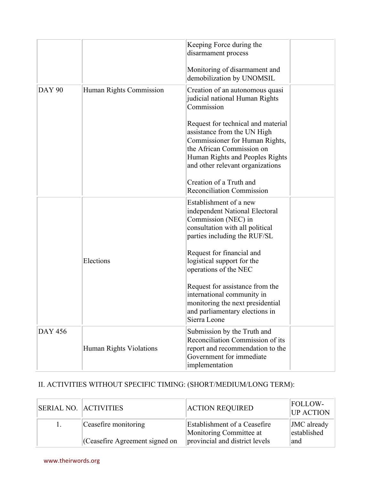|                |                         | Keeping Force during the<br>disarmament process<br>Monitoring of disarmament and<br>demobilization by UNOMSIL                                                                                                                      |  |
|----------------|-------------------------|------------------------------------------------------------------------------------------------------------------------------------------------------------------------------------------------------------------------------------|--|
| <b>DAY 90</b>  | Human Rights Commission | Creation of an autonomous quasi<br>judicial national Human Rights<br>Commission                                                                                                                                                    |  |
|                |                         | Request for technical and material<br>assistance from the UN High<br>Commissioner for Human Rights,<br>the African Commission on<br>Human Rights and Peoples Rights<br>and other relevant organizations<br>Creation of a Truth and |  |
|                |                         | <b>Reconciliation Commission</b>                                                                                                                                                                                                   |  |
|                |                         | Establishment of a new<br>independent National Electoral<br>Commission (NEC) in<br>consultation with all political<br>parties including the RUF/SL                                                                                 |  |
|                | Elections               | Request for financial and<br>logistical support for the<br>operations of the NEC                                                                                                                                                   |  |
|                |                         | Request for assistance from the<br>international community in<br>monitoring the next presidential<br>and parliamentary elections in<br>Sierra Leone                                                                                |  |
| <b>DAY 456</b> | Human Rights Violations | Submission by the Truth and<br>Reconciliation Commission of its<br>report and recommendation to the<br>Government for immediate<br>implementation                                                                                  |  |

# II. ACTIVITIES WITHOUT SPECIFIC TIMING: (SHORT/MEDIUM/LONG TERM):

| <b>SERIAL NO. ACTIVITIES</b> |                                | <b>ACTION REQUIRED</b>                                  | FOLLOW-<br><b>UP ACTION</b> |
|------------------------------|--------------------------------|---------------------------------------------------------|-----------------------------|
|                              | Ceasefire monitoring           | Establishment of a Ceasefire<br>Monitoring Committee at | JMC already<br>established  |
|                              | (Ceasefire Agreement signed on | provincial and district levels                          | and                         |